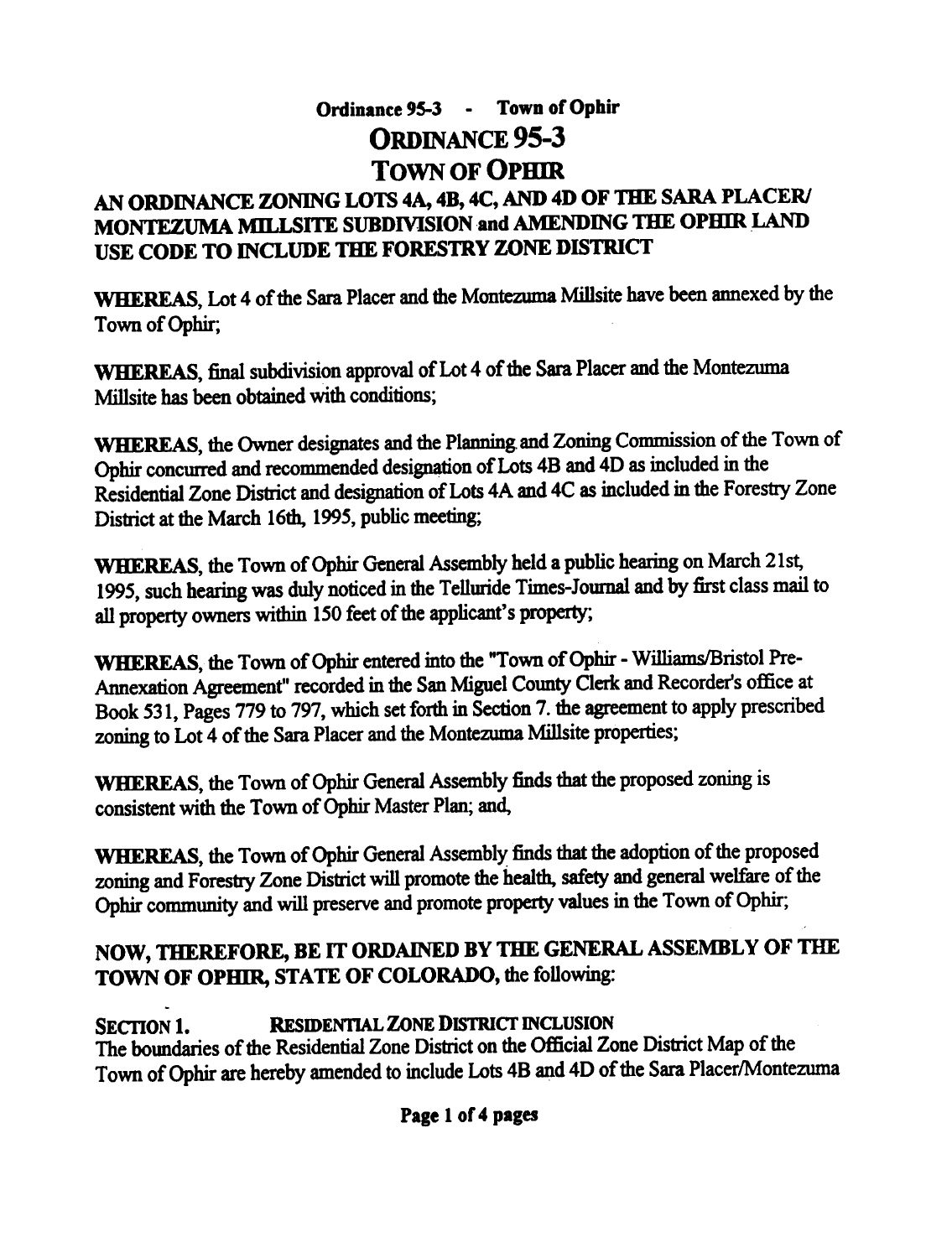# Ordinance 95-3 - Town of Ophir ORDINANCE 95-3 TOWN OF QPHIR

### AN ORDINANCE ZONING LOTS 4A, 4B, 4C, AND 4D OF THE SARA PLACER/ MONTEZUMA MILLSITE SUBDIVISION and AMENDING THE OPHIR LAND USE CODE TO INCLUDE THE FORESTRY ZONE DISTRICT

WHEREAS, Lot 4 of the Sara Placer and the Montezuma Millsite have been annexed by the Town of Ophir,

WHEREAS, final subdivision approval of Lot 4 of the Sara Placer and the Montezuma Millsite has been obtained with conditions;

WHEREAS, the Owner designates and the Planning and Zoning Commission of the Town of Ophir concurred and recommended designation of Lots 4B and 4D as included in the Residential Zone District and designation of Lots 4A and 4C as included in the Forestry Zone District at the March 16th, 1995, public meeting;

WHEREAS, the Town of Ophir General Assembly held a public hearing on March 21st, 1995, such hearing was duly noticed in the Telluride Times-Jownal and by first class mail to all property owners within 150 feet of the applicant's property;

WHEREAS, the Town of Ophir entered into the "Town of Ophir - Williams/Bristol Pre-Annexation Agreement" recorded in the San Miguel County Clerk and Recorder's office at Book 531, Pages 779 to 797, which set forth in Section 7. the agreement to apply prescribed zoning to Lot 4 of the Sara Placer and the Montezuma Millsite properties;

WHEREAS, the Town of Ophir General Assembly finds that the proposed zoning is consistent with the Town of Ophir Master Plan; and,

WHEREAS, the Town of Ophir General Assembly finds that the adoption of the proposed zoning and Forestry Zone District will promote the health, safety and general welfare of the Ophir community and will preserve and promote property values in the Town of Ophir;

## NOW, THEREFORE, BE IT ORDAINED BY THE GENERAL ASSEMBLY OF THE TOWN OF OPHIR, STATE OF COLORADO, the following:

SECTION 1. RESIDENTIAL ZONE DISTRICT INCLUSION The boundaries of the Residential Zone District on the Official Zone District Map of the Town of Ophir are hereby amended to include Lots 4B and 4D of the Sara Placer/Montezuma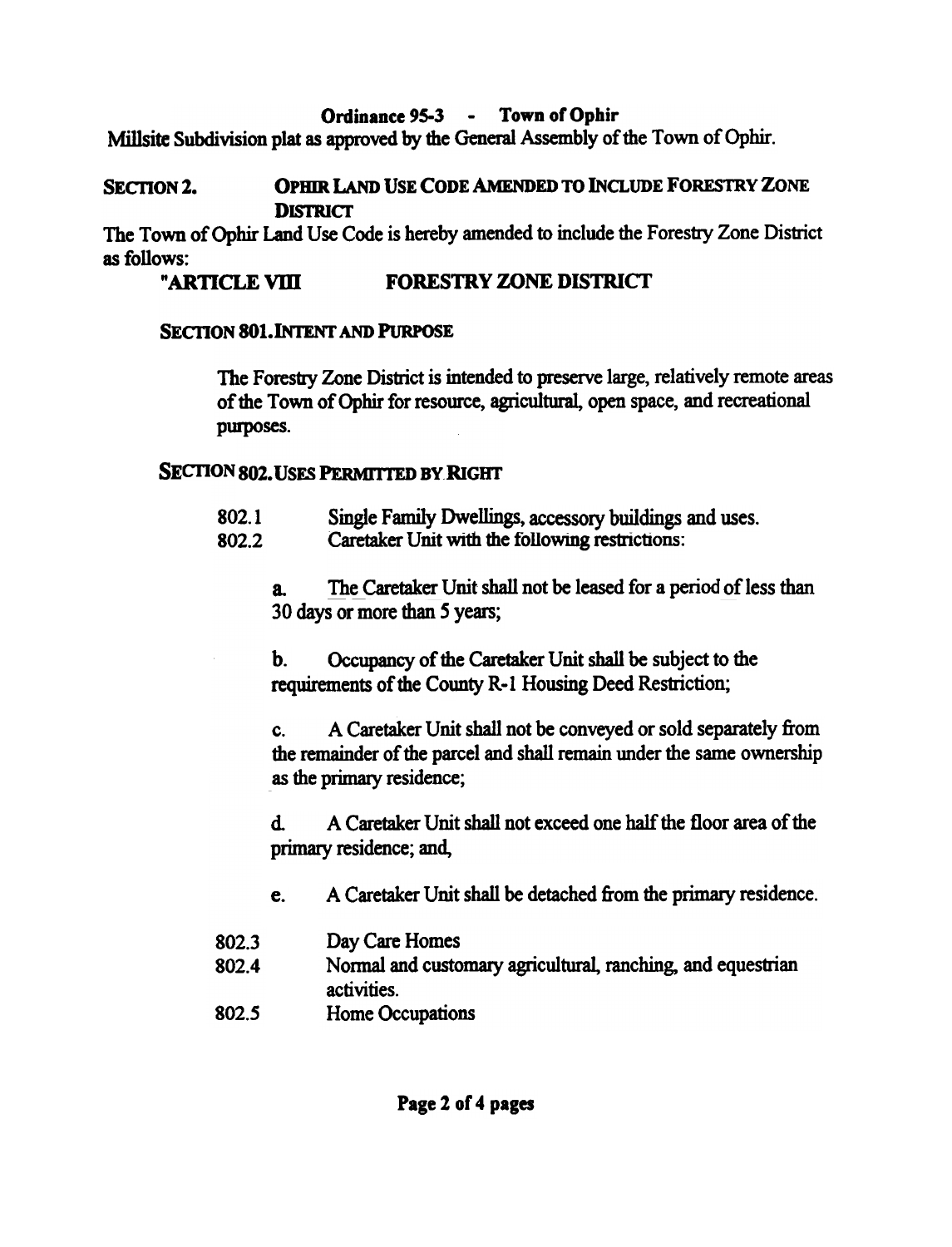Ordinance 95-3 - Town of Ophir

Millsite Subdivision plat as approved by the General Assembly of the Town of Ophir.

#### SECTION 2. **OPHIR LAND USE CODE AMENDED TO INCLUDE FORESTRY ZONE DISTRICT**

The Town of Ophir Land Use Code is hereby amended to include the Forestry Zone District as follows:

#### "ARTICLE VIII FORESTRY ZONE DISTRICT

#### **SECTION 801. INTENT AND PURPOSE**

The Forestry Zone District is intended to preserve large, relatively remote areas of the Town of Ophir for resource, agricultural, open space, and recreational pwposes.

#### **SECTION 802. USES PERMITTED BY RIGHT**

- 802.1 Single Family Dwellings, accessory buildings and uses.  $\sim$  Dweimigs,
- 802.2 Caretaker Unit with the following restrictions:

a. 30 days or more than 5 years; The Caretaker Unit shall not be leased for a period of less than

b. Occupancy of the Caretaker Unit shall be subject to the requirements of the County R-l Housing Deed Restriction; b.

c. A Caretaker Unit shall not be conveyed or sold separately from the remainder of the parcel and shall remain under the same ownership as the primary residence;

d. A Caretaker Unit shall not exceed one half the floor area of the primary residence; and,

- c. A Caretaker Unit shall be detached from the primary residence.
- 802.3 Day Care Homes
- 802.4 Normal and customary agricultural, ranching, and equestrian activities.
- 802.5 Home Occupations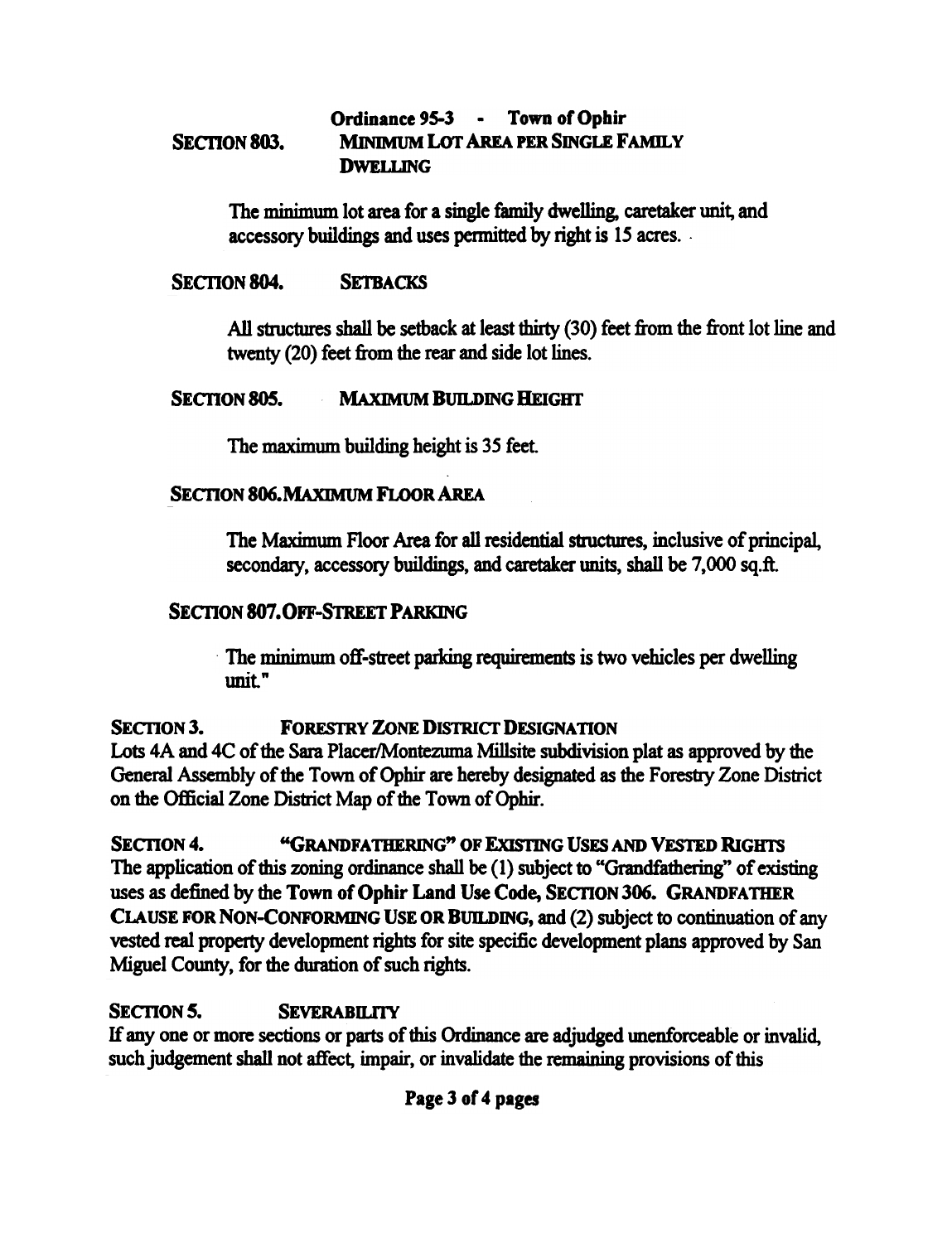#### SECTION 803. Ordinance 95-3 - Town of Ophir MINIMUM LoT AREA PER SINGLE FAMILY DWELLING

The minimum lot area for a single family dwelling, caretaker unit, and accessory buildings and uses pennitted by right is 15 acres. .

#### SECTION 804. SETBACKS

All structures shall be setback at least thirty (30) feet from the front lot line and twenty (20) feet from the rear and side lot lines.

#### SECTION 805. MAXIMUM BUILDING HEIGHT

The maximum building height is 35 feet

#### SECTION 806. MAXIMUM FLOOR AREA

The Maximum Floor Area for all residential structmes, inclusive of principal, secondary, accessory buildings, and caretaker units, shall be 7,000 sq.ft.

#### SECTION 807. OFF-STREET PARKING

The minimum off-street parking requirements is two vehicles per dwelling  $\mathbf{unit}$ .

#### SECTION 3. FORESTRY ZONE DISTRICT DESIGNATION

Lots 4A and 4C of the Sara Placer/Montezuma Millsite subdivision plat as approved by the General Assembly of the Town of Ophir are hereby designated as the Forestry Zone District on the Official Zone District Map of the Town of Ophir.

SECTION 4. "GRANDFATHERING" OF EXISTING USES AND VESTED RIGHTS The application of this zoning ordinance shall be (1) subject to "Grandfathering" of existing uses as defined by the Town of Ophir Land Use Code, SECTION 306. GRANDFATHER CLAUSE FOR NON-CONFORMING USE OR BUILDING, and (2) subject to continuation of any vested real property development rights for site specific development plans approved by San Miguel County, for the duration of such rights.

### SECTION 5. SEVERABILITY

If anyone or more sections or parts of this Ordinance are adjudged unenforceable or invalid, such judgement shall not affect, impair, or invalidate the remaining provisions of this

#### Page 3 of 4 pages